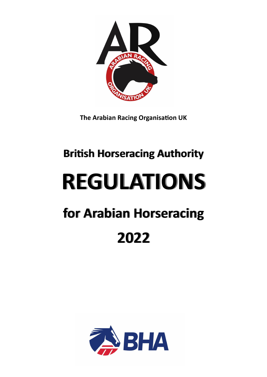

**The Arabian Racing Organisation UK**

# **British Horseracing Authority REGULATIONS for Arabian Horseracing 2022**

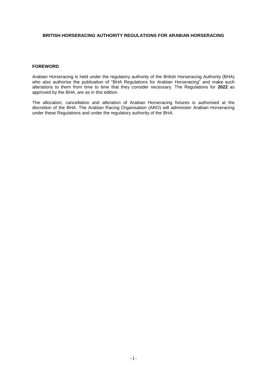#### **BRITISH HORSERACING AUTHORITY REGULATIONS FOR ARABIAN HORSERACING**

### **FOREWORD**

Arabian Horseracing is held under the regulatory authority of the British Horseracing Authority (BHA) who also authorise the publication of "BHA Regulations for Arabian Horseracing" and make such alterations to them from time to time that they consider necessary. The Regulations for **2022** as approved by the BHA, are as in this edition.

The allocation, cancellation and alteration of Arabian Horseracing fixtures is authorised at the discretion of the BHA. The Arabian Racing Organisation (ARO) will administer Arabian Horseracing under these Regulations and under the regulatory authority of the BHA.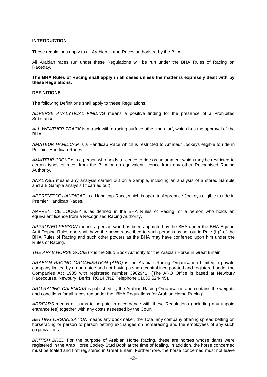#### **INTRODUCTION**

These regulations apply to all Arabian Horse Races authorised by the BHA.

All Arabian races run under these Regulations will be run under the BHA Rules of Racing on Raceday.

**The BHA Rules of Racing shall apply in all cases unless the matter is expressly dealt with by these Regulations.**

#### **DEFINITIONS**

The following Definitions shall apply to these Regulations.

*ADVERSE ANALYTICAL FINDING* means a positive finding for the presence of a Prohibited Substance.

*ALL-WEATHER TRACK* is a track with a racing surface other than turf, which has the approval of the BHA.

*AMATEUR HANDICAP* is a Handicap Race which is restricted to Amateur Jockeys eligible to ride in Premier Handicap Races.

*AMATEUR JOCKEY* is a person who holds a licence to ride as an amateur which may be restricted to certain types of race, from the BHA or an equivalent licence from any other Recognised Racing Authority.

*ANALYSIS* means any analysis carried out on a Sample, including an analysis of a stored Sample and a B Sample analysis (if carried out).

*APPRENTICE HANDICAP* is a Handicap Race, which is open to Apprentice Jockeys eligible to ride in Premier Handicap Races.

APPRENTICE JOCKEY is as defined in the BHA Rules of Racing, or a person who holds an equivalent licence from a Recognised Racing Authority.

*APPROVED PERSON* means a person who has been appointed by the BHA under the BHA Equine Anti-Doping Rules and shall have the powers ascribed to such persons as set out in Rule (L)2 of the BHA Rules of Racing and such other powers as the BHA may have conferred upon him under the Rules of Racing.

*THE ARAB HORSE SOCIETY* is the Stud Book Authority for the Arabian Horse in Great Britain.

*ARABIAN RACING ORGANISATION (ARO)* is the Arabian Racing Organisation Limited a private company limited by a guarantee and not having a share capital incorporated and registered under the Companies Act 1985 with registered number 3902941. (The ARO Office is based at Newbury Racecourse, Newbury, Berks. RG14 7NZ Telephone 01635 524445).

*ARO RACING CALENDAR* is published by the Arabian Racing Organisation and contains the weights and conditions for all races run under the "BHA Regulations for Arabian Horse Racing".

*ARREARS* means all sums to be paid in accordance with these Regulations (including any unpaid entrance fee) together with any costs assessed by the Court.

*BETTING ORGANISATION* means any bookmaker, the Tote, any company offering spread betting on horseracing or person to person betting exchanges on horseracing and the employees of any such organizations.

*BRITISH BRED* For the purpose of Arabian Horse Racing, these are horses whose dams were registered in the Arab Horse Society Stud Book at the time of foaling. In addition, the horse concerned must be foaled and first registered in Great Britain. Furthermore, the horse concerned must not leave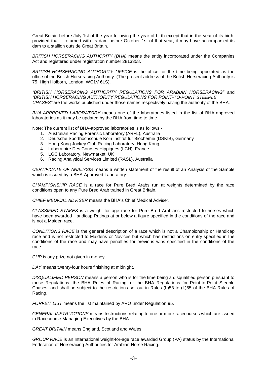Great Britain before July 1st of the year following the year of birth except that in the year of its birth, provided that it returned with its dam before October 1st of that year, it may have accompanied its dam to a stallion outside Great Britain.

*BRITISH HORSERACING AUTHORITY (BHA)* means the entity incorporated under the Companies Act and registered under registration number 2813358.

*BRITISH HORSERACING AUTHORITY OFFICE* is the office for the time being appointed as the office of the British Horseracing Authority. (The present address of the British Horseracing Authority is 75, High Holborn, London, WC1V 6LS).

*"BRITISH HORSERACING AUTHORITY REGULATIONS FOR ARABIAN HORSERACING"* and *"BRITISH HORSERACING AUTHORITY REGULATIONS FOR POINT-TO-POINT STEEPLE CHASES"* are the works published under those names respectively having the authority of the BHA.

*BHA-APPROVED LABORATORY* means one of the laboratories listed in the list of BHA-approved laboratories as it may be updated by the BHA from time to time.

Note: The current list of BHA-approved laboratories is as follows:-

- 1. Australian Racing Forensic Laboratory (ARFL), Australia
- 2. Deutsche Sporthochschule Koln Institut fur Biochemie (DSKIB), Germany
- 3. Hong Kong Jockey Club Racing Laboratory, Hong Kong
- 4. Laboratoire Des Courses Hippiques (LCH), France
- 5. LGC Laboratory, Newmarket, UK
- 6. Racing Analytical Services Limited (RASL), Australia

*CERTIFICATE OF ANALYSIS* means a written statement of the result of an Analysis of the Sample which is issued by a BHA-Approved Laboratory.

*CHAMPIONSHIP RACE* is a race for Pure Bred Arabs run at weights determined by the race conditions open to any Pure Bred Arab trained in Great Britain.

*CHIEF MEDICAL ADVISER* means the BHA's Chief Medical Adviser.

*CLASSIFIED STAKES* is a weight for age race for Pure Bred Arabians restricted to horses which have been awarded Handicap Ratings at or below a figure specified in the conditions of the race and is not a Maiden race.

*CONDITIONS RACE* is the general description of a race which is not a Championship or Handicap race and is not restricted to Maidens or Novices but which has restrictions on entry specified in the conditions of the race and may have penalties for previous wins specified in the conditions of the race.

*CUP* is any prize not given in money.

*DAY* means twenty-four hours finishing at midnight.

*DISQUALIFIED PERSON* means a person who is for the time being a disqualified person pursuant to these Regulations, the BHA Rules of Racing, or the BHA Regulations for Point-to-Point Steeple Chases, and shall be subject to the restrictions set out in Rules (L)53 to (L)55 of the BHA Rules of Racing.

*FORFEIT LIST* means the list maintained by ARO under Regulation [95.](#page-21-0)

*GENERAL INSTRUCTIONS* means Instructions relating to one or more racecourses which are issued to Racecourse Managing Executives by the BHA.

*GREAT BRITAIN* means England, Scotland and Wales.

*GROUP RACE* is an International weight-for-age race awarded Group (PA) status by the International Federation of Horseracing Authorities for Arabian Horse Racing.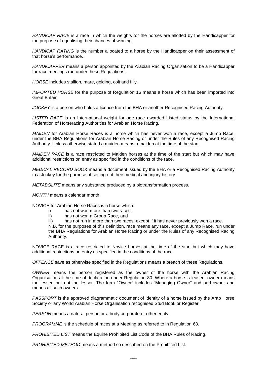*HANDICAP RACE* is a race in which the weights for the horses are allotted by the Handicapper for the purpose of equalising their chances of winning.

*HANDICAP RATING* is the number allocated to a horse by the Handicapper on their assessment of that horse's performance.

*HANDICAPPER* means a person appointed by the Arabian Racing Organisation to be a Handicapper for race meetings run under these Regulations.

*HORSE* includes stallion, mare, gelding, colt and filly.

*IMPORTED HORSE* for the purpose of Regulation [16](#page-10-0) means a horse which has been imported into Great Britain.

*JOCKEY* is a person who holds a licence from the BHA or another Recognised Racing Authority.

*LISTED RACE* is an International weight for age race awarded Listed status by the International Federation of Horseracing Authorities for Arabian Horse Racing.

*MAIDEN* for Arabian Horse Races is a horse which has never won a race, except a Jump Race, under the BHA Regulations for Arabian Horse Racing or under the Rules of any Recognised Racing Authority. Unless otherwise stated a maiden means a maiden at the time of the start.

*MAIDEN RACE* is a race restricted to Maiden horses at the time of the start but which may have additional restrictions on entry as specified in the conditions of the race.

*MEDICAL RECORD BOOK* means a document issued by the BHA or a Recognised Racing Authority to a Jockey for the purpose of setting out their medical and injury history.

*METABOLITE* means any substance produced by a biotransformation process.

*MONTH* means a calendar month.

NOVICE for Arabian Horse Races is a horse which:

- i) has not won more than two races,
- ii) has not won a Group Race, and
- iii) has not run in more than two races, except if it has never previously won a race.

N.B. for the purposes of this definition, race means any race, except a Jump Race, run under the BHA Regulations for Arabian Horse Racing or under the Rules of any Recognised Racing Authority.

NOVICE RACE is a race restricted to Novice horses at the time of the start but which may have additional restrictions on entry as specified in the conditions of the race.

*OFFENCE* save as otherwise specified in the Regulations means a breach of these Regulations.

*OWNER* means the person registered as the owner of the horse with the Arabian Racing Organisation at the time of declaration under Regulation [80.](#page-19-0) Where a horse is leased, owner means the lessee but not the lessor. The term "Owner" includes "Managing Owner" and part-owner and means all such owners.

*PASSPORT* is the approved diagrammatic document of identity of a horse issued by the Arab Horse Society or any World Arabian Horse Organisation recognised Stud Book or Register.

*PERSON* means a natural person or a body corporate or other entity.

*PROGRAMME* is the schedule of races at a Meeting as referred to in Regulation [68.](#page-17-0)

*PROHIBITED LIST* means the Equine Prohibited List Code of the BHA Rules of Racing.

*PROHIBITED METHOD* means a method so described on the Prohibited List.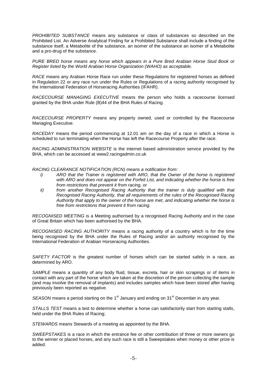*PROHIBITED SUBSTANCE* means any substance or class of substances so described on the Prohibited List. An Adverse Analytical Finding for a Prohibited Substance shall include a finding of the substance itself, a Metabolite of the substance, an isomer of the substance an isomer of a Metabolite and a pro-drug of the substance.

*PURE BRED horse means any horse which appears in a Pure Bred Arabian Horse Stud Book or Register listed by the World Arabian Horse Organization (WAHO) as acceptable.* 

*RACE* means any Arabian Horse Race run under these Regulations for registered horses as defined in Regulation 22 or any race run under the Rules or Regulations of a racing authority recognised by the International Federation of Horseracing Authorities (IFAHR).

*RACECOURSE MANAGING EXECUTIVE* means the person who holds a racecourse licensed granted by the BHA under Rule (B)44 of the BHA Rules of Racing.

*RACECOURSE PROPERTY* means any property owned, used or controlled by the Racecourse Managing Executive.

*RACEDAY* means the period commencing at 12.01 am on the day of a race in which a Horse is scheduled to run terminating when the Horse has left the Racecourse Property after the race.

*RACING ADMINISTRATION WEBSITE* is the internet based administration service provided by the BHA, which can be accessed at www2.racingadmin.co.uk

*RACING CLEARANCE NOTIFICATION (RCN) means a notification from:*

- *i) ARO that the Trainer is registered with ARO, that the Owner of the horse is registered with ARO and does not appear on the Forfeit List, and indicating whether the horse is free from restrictions that prevent it from racing, or*
- *ii) from another Recognised Racing Authority that the trainer is duly qualified with that Recognised Racing Authority, that all requirements of the rules of the Recognised Racing Authority that apply to the owner of the horse are met, and indicating whether the horse is free from restrictions that prevent it from racing.*

*RECOGNISED MEETING* is a Meeting authorised by a recognised Racing Authority and in the case of Great Britain which has been authorised by the BHA.

*RECOGNISED RACING AUTHORITY* means a racing authority of a country which is for the time being recognised by the BHA under the Rules of Racing and/or an authority recognised by the International Federation of Arabian Horseracing Authorities.

*SAFETY FACTOR* is the greatest number of horses which can be started safely in a race, as determined by ARO.

*SAMPLE* means a quantity of any body fluid, tissue, excreta, hair or skin scrapings or of items in contact with any part of the horse which are taken at the discretion of the person collecting the sample (and may involve the removal of implants) and includes samples which have been stored after having previously been reported as negative.

SEASON means a period starting on the 1<sup>st</sup> January and ending on 31<sup>st</sup> December in any year.

*STALLS TEST* means a test to determine whether a horse can satisfactorily start from starting stalls, held under the BHA Rules of Racing;

*STEWARDS* means Stewards of a meeting as appointed by the BHA.

*SWEEPSTAKES* is a race in which the entrance fee or other contribution of three or more owners go to the winner or placed horses, and any such race is still a Sweepstakes when money or other prize is added.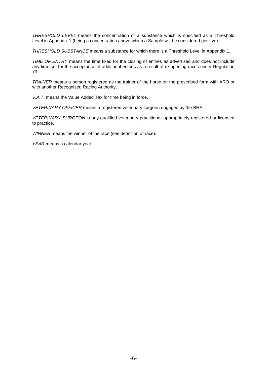*THRESHOLD LEVEL* means the concentration of a substance which is specified as a Threshold Level in Appendix 1 (being a concentration above which a Sample will be considered positive).

*THRESHOLD SUBSTANCE* means a substance for which there is a Threshold Level in Appendix 1.

*TIME OF ENTRY* means the time fixed for the closing of entries as advertised and does not include any time set for the acceptance of additional entries as a result of re-opening races under Regulation [73.](#page-18-0)

*TRAINER* means a person registered as the trainer of the horse on the prescribed form with ARO or with another Recognised Racing Authority.

*V.A.T.* means the Value Added Tax for time being in force.

*VETERINARY OFFICER* means a registered veterinary surgeon engaged by the BHA.

*VETERINARY SURGEON* is any qualified veterinary practitioner appropriately registered or licensed to practice.

*WINNER* means the winner of the race (see definition of race).

*YEAR* means a calendar year.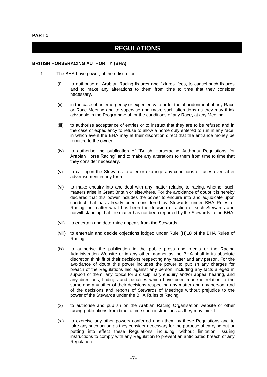# **REGULATIONS**

#### **BRITISH HORSERACING AUTHORITY (BHA)**

- 1. The BHA have power, at their discretion:
	- (i) to authorise all Arabian Racing fixtures and fixtures' fees, to cancel such fixtures and to make any alterations to them from time to time that they consider necessary.
	- (ii) in the case of an emergency or expediency to order the abandonment of any Race or Race Meeting and to supervise and make such alterations as they may think advisable in the Programme of, or the conditions of any Race, at any Meeting.
	- (iii) to authorise acceptance of entries or to instruct that they are to be refused and in the case of expediency to refuse to allow a horse duly entered to run in any race, in which event the BHA may at their discretion direct that the entrance money be remitted to the owner.
	- (iv) to authorise the publication of "British Horseracing Authority Regulations for Arabian Horse Racing" and to make any alterations to them from time to time that they consider necessary.
	- (v) to call upon the Stewards to alter or expunge any conditions of races even after advertisement in any form.
	- (vi) to make enquiry into and deal with any matter relating to racing, whether such matters arise in Great Britain or elsewhere. For the avoidance of doubt it is hereby declared that this power includes the power to enquire into and adjudicate upon conduct that has already been considered by Stewards under BHA Rules of Racing, no matter what has been the decision or action of such Stewards and notwithstanding that the matter has not been reported by the Stewards to the BHA.
	- (vii) to entertain and determine appeals from the Stewards.
	- (viii) to entertain and decide objections lodged under Rule (H)18 of the BHA Rules of Racing.
	- (ix) to authorise the publication in the public press and media or the Racing Administration Website or in any other manner as the BHA shall in its absolute discretion think fit of their decisions respecting any matter and any person. For the avoidance of doubt this power includes the power to publish any charges for breach of the Regulations laid against any person, including any facts alleged in support of them, any topics for a disciplinary enquiry and/or appeal hearing, and any directions, findings and penalties which have been made in relation to the same and any other of their decisions respecting any matter and any person, and of the decisions and reports of Stewards of Meetings without prejudice to the power of the Stewards under the BHA Rules of Racing.
	- (x) to authorise and publish on the Arabian Racing Organisation website or other racing publications from time to time such instructions as they may think fit.
	- (xi) to exercise any other powers conferred upon them by these Regulations and to take any such action as they consider necessary for the purpose of carrying out or putting into effect these Regulations including, without limitation, issuing instructions to comply with any Regulation to prevent an anticipated breach of any Regulation.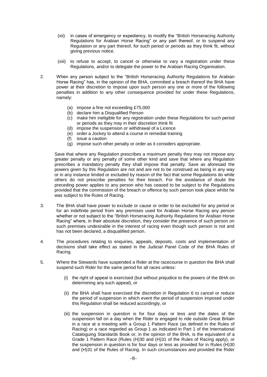- (xii) in cases of emergency or expediency, to modify the "British Horseracing Authority Regulations for Arabian Horse Racing" or any part thereof, or to suspend any Regulation or any part thereof, for such period or periods as they think fit, without giving previous notice.
- (xiii) to refuse to accept, to cancel or otherwise to vary a registration under these Regulations, and/or to delegate the power to the Arabian Racing Organisation.
- <span id="page-8-1"></span><span id="page-8-0"></span>2. When any person subject to the "British Horseracing Authority Regulations for Arabian Horse Racing" has, in the opinion of the BHA, committed a breach thereof the BHA have power at their discretion to impose upon such person any one or more of the following penalties in addition to any other consequence provided for under these Regulations, namely:
	- (a) impose a fine not exceeding £75,000
	- (b) declare him a Disqualified Person
	- (c) make him ineligible for any registration under these Regulations for such period or periods as they may in their discretion think fit
	- (d) impose the suspension or withdrawal of a Licence
	- (e) order a Jockey to attend a course in remedial training
	- (f) issue a caution
	- (g) impose such other penalty or order as it considers appropriate.

Save that where any Regulation prescribes a maximum penalty they may not impose any greater penalty or any penalty of some other kind and save that where any Regulation prescribes a mandatory penalty they shall impose that penalty. Save as aforesaid the powers given by this Regulation are not and are not to be construed as being in any way or in any instance limited or excluded by reason of the fact that some Regulations do while others do not prescribe penalties for their breach. For the avoidance of doubt the preceding power applies to any person who has ceased to be subject to the Regulations provided that the commission of the breach or offence by such person took place whilst he was subject to the Rules of Racing.

- 3. The BHA shall have power to exclude or cause or order to be excluded for any period or for an indefinite period from any premises used for Arabian Horse Racing any person whether or not subject to the "British Horseracing Authority Regulations for Arabian Horse Racing" where, in their absolute discretion, they consider the presence of such person on such premises undesirable in the interest of racing even though such person is not and has not been declared, a disqualified person.
- 4. The procedures relating to enquiries, appeals, deposits, costs and implementation of decisions shall take effect as stated in the Judicial Panel Code of the BHA Rules of Racing.
- 5. Where the Stewards have suspended a Rider at the racecourse in question the BHA shall suspend such Rider for the same period for all races unless:
	- (i) the right of appeal is exercised (but without prejudice to the powers of the BHA on determining any such appeal), or
	- (ii) the BHA shall have exercised the discretion in Regulation [6](#page-9-0) to cancel or reduce the period of suspension in which event the period of suspension imposed under this Regulation shall be reduced accordingly, or
	- (iii) the suspension in question is for four days or less and the dates of the suspension fall on a day when the Rider is engaged to ride outside Great Britain in a race at a meeting with a Group 1 Pattern Race (as defined in the Rules of Racing) or a race regarded as Group 1 as indicated in Part 1 of the International Cataloguing Standards Book or, in the opinion of the BHA, is the equivalent of a Grade 1 Pattern Race (Rules (H)30 and (H)31 of the Rules of Racing apply), or the suspension in question is for four days or less as provided for in Rules (H)30 and (H)31 of the Rules of Racing. In such circumstances and provided the Rider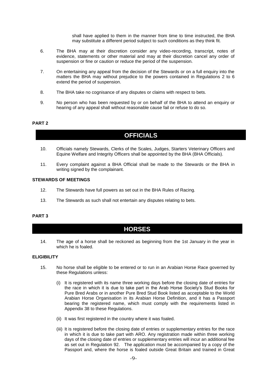shall have applied to them in the manner from time to time instructed, the BHA may substitute a different period subject to such conditions as they think fit.

- <span id="page-9-0"></span>6. The BHA may at their discretion consider any video-recording, transcript, notes of evidence, statements or other material and may at their discretion cancel any order of suspension or fine or caution or reduce the period of the suspension.
- 7. On entertaining any appeal from the decision of the Stewards or on a full enquiry into the matters the BHA may without prejudice to the powers contained in Regulations [2](#page-8-0) to [6](#page-9-0) extend the period of suspension.
- 8. The BHA take no cognisance of any disputes or claims with respect to bets.
- 9. No person who has been requested by or on behalf of the BHA to attend an enquiry or hearing of any appeal shall without reasonable cause fail or refuse to do so.

#### **PART 2**

### **OFFICIALS**

- 10. Officials namely Stewards, Clerks of the Scales, Judges, Starters Veterinary Officers and Equine Welfare and Integrity Officers shall be appointed by the BHA (BHA Officials).
- 11. Every complaint against a BHA Official shall be made to the Stewards or the BHA in writing signed by the complainant.

#### **STEWARDS OF MEETINGS**

- 12. The Stewards have full powers as set out in the BHA Rules of Racing.
- 13. The Stewards as such shall not entertain any disputes relating to bets.

#### **PART 3**

### **HORSES**

14. The age of a horse shall be reckoned as beginning from the 1st January in the year in which he is foaled.

#### **ELIGIBILITY**

- <span id="page-9-1"></span>15. No horse shall be eligible to be entered or to run in an Arabian Horse Race governed by these Regulations unless:
	- (i) It is registered with its name three working days before the closing date of entries for the race in which it is due to take part in the Arab Horse Society's Stud Books for Pure Bred Arabs or in another Pure Bred Stud Book listed as acceptable to the World Arabian Horse Organisation in its Arabian Horse Definition, and it has a Passport bearing the registered name, which must comply with the requirements listed in Appendix 38 to these Regulations.
	- (ii) It was first registered in the country where it was foaled.
	- (iii) It is registered before the closing date of entries or supplementary entries for the race in which it is due to take part with ARO. Any registration made within three working days of the closing date of entries or supplementary entries will incur an additional fee as set out in Regulation [92.](#page-20-0) The application must be accompanied by a copy of the Passport and, where the horse is foaled outside Great Britain and trained in Great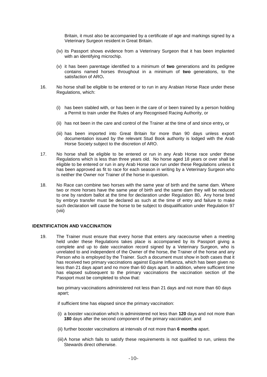Britain, it must also be accompanied by a certificate of age and markings signed by a Veterinary Surgeon resident in Great Britain.

- (iv) its Passport shows evidence from a Veterinary Surgeon that it has been implanted with an identifying microchip.
- (v) it has been parentage identified to a minimum of **two** generations and its pedigree contains named horses throughout in a minimum of **two** generations, to the satisfaction of ARO**.**
- <span id="page-10-0"></span>16. No horse shall be eligible to be entered or to run in any Arabian Horse Race under these Regulations, which:
	- (i) has been stabled with, or has been in the care of or been trained by a person holding a Permit to train under the Rules of any Recognised Racing Authority, or
	- (ii) has not been in the care and control of the Trainer at the time of and since entry**,** or
	- (iii) has been imported into Great Britain for more than 90 days unless export documentation issued by the relevant Stud Book authority is lodged with the Arab Horse Society subject to the discretion of ARO.
- 17. No horse shall be eligible to be entered or run in any Arab Horse race under these Regulations which is less than three years old. No horse aged 18 years or over shall be eligible to be entered or run in any Arab Horse race run under these Regulations unless it has been approved as fit to race for each season in writing by a Veterinary Surgeon who is neither the Owner nor Trainer of the horse in question.
- <span id="page-10-2"></span>18. No Race can combine two horses with the same year of birth and the same dam. Where two or more horses have the same year of birth and the same dam they will be reduced to one by random ballot at the time for declaration under Regulation [80](#page-19-0)**.** Any horse bred by embryo transfer must be declared as such at the time of entry and failure to make such declaration will cause the horse to be subject to disqualification under Regulation 97 (viii)

#### **IDENTIFICATION AND VACCINATION**

<span id="page-10-1"></span>19. The Trainer must ensure that every horse that enters any racecourse when a meeting held under these Regulations takes place is accompanied by its Passport giving a complete and up to date vaccination record signed by a Veterinary Surgeon, who is unrelated to and independent of the Owner of the horse, the Trainer of the horse and any Person who is employed by the Trainer. Such a document must show in both cases that it has received two primary vaccinations against Equine Influenza, which has been given no less than 21 days apart and no more than 60 days apart. In addition, where sufficient time has elapsed subsequent to the primary vaccinations the vaccination section of the Passport must be completed to show that:

 two primary vaccinations administered not less than 21 days and not more than 60 days apart;

if sufficient time has elapsed since the primary vaccination:

- (i) a booster vaccination which is administered not less than **120** days and not more than **180** days after the second component of the primary vaccination; and
- (ii) further booster vaccinations at intervals of not more than **6 months** apart.
- (iii)A horse which fails to satisfy these requirements is not qualified to run, unless the Stewards direct otherwise.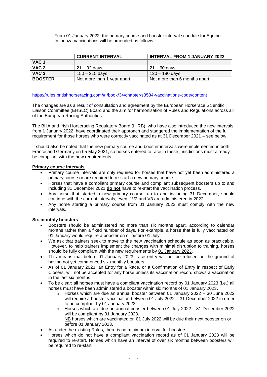From 01 January 2022, the primary course and booster interval schedule for Equine Influenza vaccinations will be amended as follows:

|                  | <b>CURRENT INTERVAL</b>    | <b>INTERVAL FROM 1 JANUARY 2022</b> |  |
|------------------|----------------------------|-------------------------------------|--|
| VAC <sub>1</sub> |                            |                                     |  |
| VAC <sub>2</sub> | 21 – 92 davs               | $21 - 60$ days                      |  |
| VAC <sub>3</sub> | $150 - 215$ days           | 120 – 180 days                      |  |
| <b>BOOSTER</b>   | Not more than 1 year apart | Not more than 6 months apart        |  |

#### <https://rules.britishhorseracing.com/#!/book/34/chapter/s3534-vaccinations-code/content>

The changes are as a result of consultation and agreement by the European Horserace Scientific Liaison Committee (EHSLC) Board and the aim for harmonisation of Rules and Regulations across all of the European Racing Authorities.

The BHA and Irish Horseracing Regulatory Board (IHRB), who have also introduced the new intervals from 1 January 2022, have coordinated their approach and staggered the implementation of the full requirement for those horses who were correctly vaccinated as at 31 December 2021 – see below

It should also be noted that the new primary course and booster intervals were implemented in both France and Germany on 05 May 2021, so horses entered to race in these jurisdictions must already be compliant with the new requirements.

#### **Primary course intervals**

- Primary course intervals are only required for horses that have not yet been administered a primary course or are required to re-start a new primary course.
- Horses that have a compliant primary course and compliant subsequent boosters up to and including 31 December 2021 **do not** have to re-start the vaccination process.
- Any horse that started a new primary course, up to and including 31 December, should continue with the current intervals, even if V2 and V3 are administered in 2022.
- Any horse starting a primary course from 01 January 2022 must comply with the new intervals.

#### **Six-monthly boosters**

- Boosters should be administered no more than six months apart, according to calendar months rather than a fixed number of days. For example, a horse that is fully vaccinated on 01 January would require a booster on or before 01 July.
- We ask that trainers seek to move to the new vaccination schedule as soon as practicable. However, to help trainers implement the changes with minimal disruption to training, horses should be fully compliant with the new requirements by 01 January 2023.
- This means that before 01 January 2023, race entry will not be refused on the ground of having not yet commenced six-monthly boosters.
- As of 01 January 2023, an Entry for a Race, or a Confirmation of Entry in respect of Early Closers, will not be accepted for any horse unless its vaccination record shows a vaccination in the last six months.
- To be clear: all horses must have a compliant vaccination record by 01 January 2023 (i.e.) all horses must have been administered a booster within six months of 01 January 2023.
	- $\circ$  Horses which are due an annual booster between 01 January 2022 30 June 2022 will require a booster vaccination between 01 July 2022 – 31 December 2022 in order to be compliant by 01 January 2023.
	- $\circ$  Horses which are due an annual booster between 01 July 2022 31 December 2022 will be compliant by 01 January 2023. NB horses which are vaccinated on 01 July 2022 will be due their next booster on or
		- before 01 January 2023.
- As under the existing Rules, there is no minimum interval for boosters.
- Horses which do not have a compliant vaccination record as of 01 January 2023 will be required to re-start. Horses which have an interval of over six months between boosters will be required to re-start.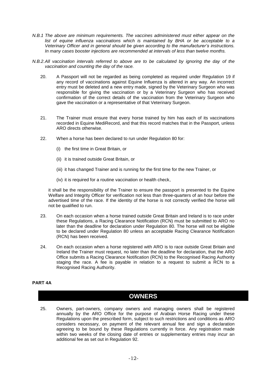- *N.B.1 The above are minimum requirements. The vaccines administered must either appear on the list of equine influenza vaccinations which is maintained by BHA or be acceptable to a Veterinary Officer and in general should be given according to the manufacturer's instructions. In many cases booster injections are recommended at intervals of less than twelve months.*
- *N.B.2.All vaccination intervals referred to above are to be calculated by ignoring the day of the vaccination and counting the day of the race.*
	- 20. A Passport will not be regarded as being completed as required under Regulation [19](#page-10-1) if any record of vaccinations against Equine Influenza is altered in any way. An incorrect entry must be deleted and a new entry made, signed by the Veterinary Surgeon who was responsible for giving the vaccination or by a Veterinary Surgeon who has received confirmation of the correct details of the vaccination from the Veterinary Surgeon who gave the vaccination or a representative of that Veterinary Surgeon.
	- 21. The Trainer must ensure that every horse trained by him has each of its vaccinations recorded in Equine MediRecord, and that this record matches that in the Passport, unless ARO directs otherwise.
	- 22. When a horse has been declared to run under Regulation [80](#page-19-0) for:
		- (i) the first time in Great Britain, or
		- (ii) it is trained outside Great Britain, or
		- (iii) it has changed Trainer and is running for the first time for the new Trainer, or
		- (iv) it is required for a routine vaccination or health check,

it shall be the responsibility of the Trainer to ensure the passport is presented to the Equine Welfare and Integrity Officer for verification not less than three-quarters of an hour before the advertised time of the race. If the identity of the horse is not correctly verified the horse will not be qualified to run.

- <span id="page-12-1"></span>23. On each occasion when a horse trained outside Great Britain and Ireland is to race under these Regulations, a Racing Clearance Notification (RCN) must be submitted to ARO no later than the deadline for declaration under Regulation [80.](#page-19-0) The horse will not be eligible to be declared under Regulation [80](#page-19-0) unless an acceptable Racing Clearance Notification (RCN) has been received.
- 24. On each occasion when a horse registered with ARO is to race outside Great Britain and Ireland the Trainer must request, no later than the deadline for declaration, that the ARO Office submits a Racing Clearance Notification (RCN) to the Recognised Racing Authority staging the race. A fee is payable in relation to a request to submit a RCN to a Recognised Racing Authority.

#### **PART 4A**

### **OWNERS**

<span id="page-12-0"></span>25. Owners, part-owners, company owners and managing owners shall be registered annually by the ARO Office for the purpose of Arabian Horse Racing under these Regulations upon the prescribed form, subject to such restrictions and conditions as ARO considers necessary, on payment of the relevant annual fee and sign a declaration agreeing to be bound by these Regulations currently in force. Any registration made within two weeks of the closing date of entries or supplementary entries may incur an additional fee as set out in Regulation [92.](#page-20-0)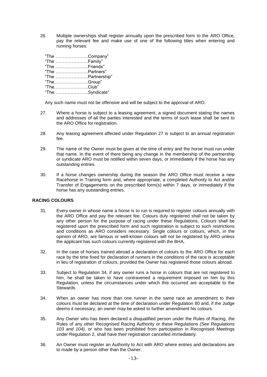26. Multiple ownerships shall register annually upon the prescribed form to the ARO Office, pay the relevant fee and make use of one of the following titles when entering and running horses:

| "The Company"  |                   |
|----------------|-------------------|
| "The Family"   |                   |
| "The Friends"  |                   |
| "The Partners" |                   |
|                | "The Partnership" |
| "TheGroup"     |                   |
| $"The$ Club"   |                   |
| "TheSyndicate" |                   |

Any such name must not be offensive and will be subject to the approval of ARO.

- <span id="page-13-0"></span>27. Where a horse is subject to a leasing agreement, a signed document stating the names and addresses of all the parties interested and the terms of such lease shall be sent to the ARO Office for registration.
- 28. Any leasing agreement affected under Regulation [27](#page-13-0) is subject to an annual registration fee.
- 29. The name of the Owner must be given at the time of entry and the horse must run under that name. In the event of there being any change in the membership of the partnership or syndicate ARO must be notified within seven days, or immediately if the horse has any outstanding entries.
- <span id="page-13-2"></span>30. If a horse changes ownership during the season the ARO Office must receive a new Racehorse in Training form and, where appropriate, a completed Authority to Act and/or Transfer of Engagements on the prescribed form(s) within 7 days, or immediately if the horse has any outstanding entries.

### **RACING COLOURS**

- <span id="page-13-4"></span>31. Every owner in whose name a horse is to run is required to register colours annually with the ARO Office and pay the relevant fee. Colours duly registered shall not be taken by any other person for the purpose of racing under these Regulations**.** Colours shall be registered upon the prescribed form and such registration is subject to such restrictions and conditions as ARO considers necessary. Single colours or colours, which, in the opinion of ARO, are famous or well-known colours will not be registered by ARO unless the applicant has such colours currently registered with the BHA.
- 32. In the case of horses trained abroad a declaration of colours to the ARO Office for each race by the time fixed for declaration of runners in the conditions of the race is acceptable in lieu of registration of colours, provided the Owner has registered those colours abroad.
- <span id="page-13-5"></span>33. Subject to Regulation [34,](#page-13-1) if any owner runs a horse in colours that are not registered to him, he shall be taken to have contravened a requirement imposed on him by this Regulation, unless the circumstances under which this occurred are acceptable to the **Stewards**
- <span id="page-13-1"></span>34. When an owner has more than one runner in the same race an amendment to their colours must be declared at the time of declaration under Regulation [80](#page-19-0) and, if the Judge deems it necessary, an owner may be asked to further amendment his colours.
- 35. Any Owner who has been declared a disqualified person under the Rules of Racing, the Rules of any other Recognised Racing Authority or these Regulations *(See Regulations [103](#page-23-0) and [104\)](#page-24-0),* or who has been prohibited from participation in Recognised Meetings under Regulation 2, shall have their registration cancelled immediately.
- <span id="page-13-3"></span>36. An Owner must register an Authority to Act with ARO where entries and declarations are to made by a person other than the Owner.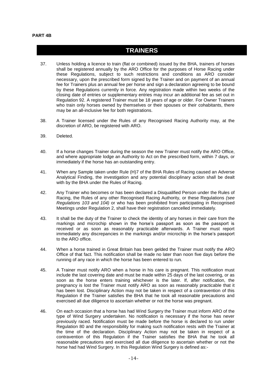#### **PART 4B**

### **TRAINERS**

- <span id="page-14-0"></span>37. Unless holding a licence to train (flat or combined) issued by the BHA, trainers of horses shall be registered annually by the ARO Office for the purposes of Horse Racing under these Regulations, subject to such restrictions and conditions as ARO consider necessary, upon the prescribed form signed by the Trainer and on payment of an annual fee for Trainers plus an annual fee per horse and sign a declaration agreeing to be bound by these Regulations currently in force. Any registration made within two weeks of the closing date of entries or supplementary entries may incur an additional fee as set out in Regulation [92.](#page-20-0) A registered Trainer must be 18 years of age or older. For Owner Trainers who train only horses owned by themselves or their spouses or their cohabitants, there may be an all-inclusive fee for both registrations.
- 38. A Trainer licensed under the Rules of any Recognised Racing Authority may, at the discretion of ARO, be registered with ARO.
- 39. Deleted.
- 40. If a horse changes Trainer during the season the new Trainer must notify the ARO Office, and where appropriate lodge an Authority to Act on the prescribed form, within 7 days, or immediately if the horse has an outstanding entry.
- 41. When any Sample taken under Rule (H)7 of the BHA Rules of Racing caused an Adverse Analytical Finding, the investigation and any potential disciplinary action shall be dealt with by the BHA under the Rules of Racing.
- 42. Any Trainer who becomes or has been declared a Disqualified Person under the Rules of Racing, the Rules of any other Recognised Racing Authority, or these Regulations *(see Regulations [103](#page-23-0) and [104\)](#page-24-0)* or who has been prohibited from participating in Recognised Meetings under Regulation [2,](#page-8-0) shall have their registration cancelled immediately.
- <span id="page-14-1"></span>43. It shall be the duty of the Trainer to check the identity of any horses in their care from the markings and microchip shown in the horse's passport as soon as the passport is received or as soon as reasonably practicable afterwards. A Trainer must report immediately any discrepancies in the markings and/or microchip in the horse's passport to the ARO office.
- 44. When a horse trained in Great Britain has been gelded the Trainer must notify the ARO Office of that fact. This notification shall be made no later than noon five days before the running of any race in which the horse has been entered to run.
- 45. A Trainer must notify ARO when a horse in his care is pregnant. This notification must include the last covering date and must be made within 25 days of the last covering, or as soon as the horse enters training whichever is the later. If, after notification, the pregnancy is lost the Trainer must notify ARO as soon as reasonably practicable that it has been lost. Disciplinary Action may not be taken in respect of a contravention of this Regulation if the Trainer satisfies the BHA that he took all reasonable precautions and exercised all due diligence to ascertain whether or not the horse was pregnant.
- 46. On each occasion that a horse has had Wind Surgery the Trainer must inform ARO of the type of Wind Surgery undertaken. No notification is necessary if the horse has never previously raced. Notification must be made before the horse is declared to run under Regulation [80](#page-19-0) and the responsibility for making such notification rests with the Trainer at the time of the declaration. Disciplinary Action may not be taken in respect of a contravention of this Regulation if the Trainer satisfies the BHA that he took all reasonable precautions and exercised all due diligence to ascertain whether or not the horse had had Wind Surgery. In this Regulation Wind Surgery is defined as:-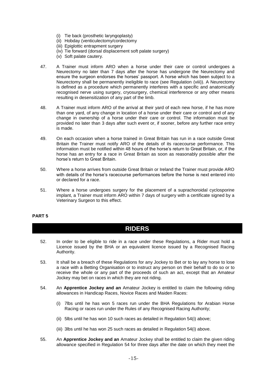- (i) Tie back (prosthetic laryngoplasty)
- (ii) Hobday (venticulectomy/cordectomy
- (iii) Epiglottic entrapment surgery
- (iv) Tie forward (dorsal displacement soft palate surgery)
- (v) Soft palate cautery.
- 47. A Trainer must inform ARO when a horse under their care or control undergoes a Neurectomy no later than 7 days after the horse has undergone the Neurectomy and ensure the surgeon endorses the horses' passport. A horse which has been subject to a Neurectomy shall be permanently ineligible to race (see Regulation [\(viii\)\)](#page-22-0). A Neurectomy is defined as a procedure which permanently interferes with a specific and anatomically recognised nerve using surgery, cryosurgery, chemical interference or any other means resulting in desensitization of any part of the limb.
- 48. A Trainer must inform ARO of the arrival at their yard of each new horse, if he has more than one yard, of any change in location of a horse under their care or control and of any change in ownership of a horse under their care or control. The information must be provided no later than 3 days after such event or, if sooner, before any further race entry is made.
- <span id="page-15-3"></span>49. On each occasion when a horse trained in Great Britain has run in a race outside Great Britain the Trainer must notify ARO of the details of its racecourse performance. This information must be notified within 48 hours of the horse's return to Great Britain, or, if the horse has an entry for a race in Great Britain as soon as reasonably possible after the horse's return to Great Britain.
- <span id="page-15-4"></span>50. Where a horse arrives from outside Great Britain or Ireland the Trainer must provide ARO with details of the horse's racecourse performances before the horse is next entered into or declared for a race.
- <span id="page-15-2"></span>51. Where a horse undergoes surgery for the placement of a suprachoroidal cyclosporine implant, a Trainer must inform ARO within 7 days of surgery with a certificate signed by a Veterinary Surgeon to this effect.

### **PART 5**

### **RIDERS**

- <span id="page-15-1"></span>52. In order to be eligible to ride in a race under these Regulations, a Rider must hold a Licence issued by the BHA or an equivalent licence issued by a Recognised Racing Authority.
- 53. It shall be a breach of these Regulations for any Jockey to Bet or to lay any horse to lose a race with a Betting Organisation or to instruct any person on their behalf to do so or to receive the whole or any part of the proceeds of such an act, except that an Amateur Jockey may bet on races in which they are not riding.
- <span id="page-15-0"></span>54. An **Apprentice Jockey and an** Amateur Jockey is entitled to claim the following riding allowances in Handicap Races, Novice Races and Maiden Races:
	- (i) 7lbs until he has won 5 races run under the BHA Regulations for Arabian Horse Racing or races run under the Rules of any Recognised Racing Authority;
	- (ii) 5lbs until he has won 10 such races as detailed in Regulation 54(i) above;
	- (iii) 3lbs until he has won 25 such races as detailed in Regulation 54(i) above.
- 55. An **Apprentice Jockey and an** Amateur Jockey shall be entitled to claim the given riding allowance specified in Regulation [54](#page-15-0) for three days after the date on which they meet the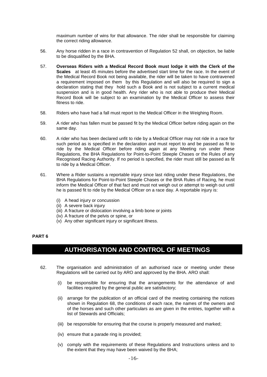maximum number of wins for that allowance. The rider shall be responsible for claiming the correct riding allowance.

- 56. Any horse ridden in a race in contravention of Regulation [52](#page-15-1) shall, on objection, be liable to be disqualified by the BHA.
- 57. **Overseas Riders with a Medical Record Book must lodge it with the Clerk of the Scales** at least 45 minutes before the advertised start time for the race. In the event of the Medical Record Book not being available, the rider will be taken to have contravened a requirement imposed on them by this Regulation and will also be required to sign a declaration stating that they hold such a Book and is not subject to a current medical suspension and is in good health. Any rider who is not able to produce their Medical Record Book will be subject to an examination by the Medical Officer to assess their fitness to ride.
- 58. Riders who have had a fall must report to the Medical Officer in the Weighing Room.
- 59. A rider who has fallen must be passed fit by the Medical Officer before riding again on the same day.
- 60. A rider who has been declared unfit to ride by a Medical Officer may not ride in a race for such period as is specified in the declaration and must report to and be passed as fit to ride by the Medical Officer before riding again at any Meeting run under these Regulations, the BHA Regulations for Point-to-Point Steeple Chases or the Rules of any Recognised Racing Authority. If no period is specified, the rider must still be passed as fit to ride by a Medical Officer.
- 61. Where a Rider sustains a reportable injury since last riding under these Regulations, the BHA Regulations for Point-to-Point Steeple Chases or the BHA Rules of Racing, he must inform the Medical Officer of that fact and must not weigh out or attempt to weigh out until he is passed fit to ride by the Medical Officer on a race day. A reportable injury is:
	- (i) A head injury or concussion
	- (ii) A severe back injury
	- (iii) A fracture or dislocation involving a limb bone or joints
	- (iv) A fracture of the pelvis or spine, or
	- (v) Any other significant injury or significant illness.

### **PART 6**

# **AUTHORISATION AND CONTROL OF MEETINGS**

- 62. The organisation and administration of an authorised race or meeting under these Regulations will be carried out by ARO and approved by the BHA. ARO shall:
	- (i) be responsible for ensuring that the arrangements for the attendance of and facilities required by the general public are satisfactory;
	- (ii) arrange for the publication of an official card of the meeting containing the notices shown in Regulation [68,](#page-17-0) the conditions of each race, the names of the owners and of the horses and such other particulars as are given in the entries, together with a list of Stewards and Officials;
	- (iii) be responsible for ensuring that the course is properly measured and marked;
	- (iv) ensure that a parade ring is provided;
	- (v) comply with the requirements of these Regulations and Instructions unless and to the extent that they may have been waived by the BHA;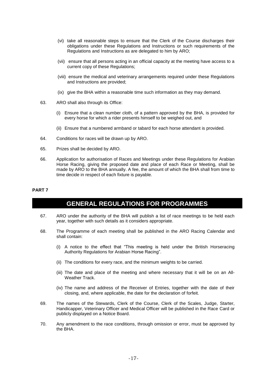- (vi) take all reasonable steps to ensure that the Clerk of the Course discharges their obligations under these Regulations and Instructions or such requirements of the Regulations and Instructions as are delegated to him by ARO;
- (vii) ensure that all persons acting in an official capacity at the meeting have access to a current copy of these Regulations;
- (viii) ensure the medical and veterinary arrangements required under these Regulations and Instructions are provided;
- (ix) give the BHA within a reasonable time such information as they may demand.
- 63. ARO shall also through its Office:
	- (i) Ensure that a clean number cloth, of a pattern approved by the BHA, is provided for every horse for which a rider presents himself to be weighed out, and
	- (ii) Ensure that a numbered armband or tabard for each horse attendant is provided.
- 64. Conditions for races will be drawn up by ARO.
- 65. Prizes shall be decided by ARO.
- 66. Application for authorisation of Races and Meetings under these Regulations for Arabian Horse Racing, giving the proposed date and place of each Race or Meeting, shall be made by ARO to the BHA annually. A fee, the amount of which the BHA shall from time to time decide in respect of each fixture is payable.

#### **PART 7**

### **GENERAL REGULATIONS FOR PROGRAMMES**

- 67. ARO under the authority of the BHA will publish a list of race meetings to be held each year, together with such details as it considers appropriate.
- <span id="page-17-0"></span>68. The Programme of each meeting shall be published in the ARO Racing Calendar and shall contain:
	- (i) A notice to the effect that "This meeting is held under the British Horseracing Authority Regulations for Arabian Horse Racing".
	- (ii) The conditions for every race, and the minimum weights to be carried.
	- (iii) The date and place of the meeting and where necessary that it will be on an All-Weather Track.
	- (iv) The name and address of the Receiver of Entries, together with the date of their closing, and, where applicable, the date for the declaration of forfeit.
- 69. The names of the Stewards, Clerk of the Course, Clerk of the Scales, Judge, Starter, Handicapper, Veterinary Officer and Medical Officer will be published in the Race Card or publicly displayed on a Notice Board.
- 70. Any amendment to the race conditions, through omission or error, must be approved by the BHA.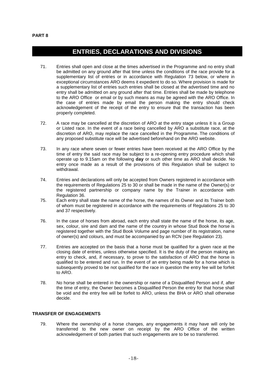# **ENTRIES, DECLARATIONS AND DIVISIONS**

- 71. Entries shall open and close at the times advertised in the Programme and no entry shall be admitted on any ground after that time unless the conditions of the race provide for a supplementary list of entries or in accordance with Regulation [73](#page-18-0) below, or where in exceptional circumstances ARO deems it expedient to do so. Where provision is made for a supplementary list of entries such entries shall be closed at the advertised time and no entry shall be admitted on any ground after that time. Entries shall be made by telephone to the ARO Office or email or by such means as may be agreed with the ARO Office. In the case of entries made by email the person making the entry should check acknowledgement of the receipt of the entry to ensure that the transaction has been properly completed.
- 72. A race may be cancelled at the discretion of ARO at the entry stage unless it is a Group or Listed race. In the event of a race being cancelled by ARO a substitute race, at the discretion of ARO, may replace the race cancelled in the Programme. The conditions of any proposed substitute race will be advertised beforehand on the ARO website.
- <span id="page-18-0"></span>73. In any race where seven or fewer entries have been received at the ARO Office by the time of entry the said race may be subject to a re-opening entry procedure which shall operate up to 9.15am on the following **day** or such other time as ARO shall decide. No entry once made as a result of the provisions of this Regulation shall be subject to withdrawal.
- 74. Entries and declarations will only be accepted from Owners registered in accordance with the requirements of Regulations [25](#page-12-0) to [30](#page-13-2) or shall be made in the name of the Owner(s) or the registered partnership or company name by the Trainer in accordance with Regulation [36.](#page-13-3)
- 75. Each entry shall state the name of the horse, the names of its Owner and its Trainer both of whom must be registered in accordance with the requirements of Regulations [25](#page-12-0) to [30](#page-13-2) and [37](#page-14-0) respectively.
- 76. In the case of horses from abroad, each entry shall state the name of the horse, its age, sex, colour, sire and dam and the name of the country in whose Stud Book the horse is registered together with the Stud Book Volume and page number of its registration, name of owner(s) and colours, and must be accompanied by an RCN (see Regulation [23\)](#page-12-1).
- <span id="page-18-1"></span>77. Entries are accepted on the basis that a horse must be qualified for a given race at the closing date of entries, unless otherwise specified. It is the duty of the person making an entry to check, and, if necessary, to prove to the satisfaction of ARO that the horse is qualified to be entered and run. In the event of an entry being made for a horse which is subsequently proved to be not qualified for the race in question the entry fee will be forfeit to ARO.
- 78. No horse shall be entered in the ownership or name of a Disqualified Person and if, after the time of entry, the Owner becomes a Disqualified Person the entry for that horse shall be void and the entry fee will be forfeit to ARO, unless the BHA or ARO shall otherwise decide.

### **TRANSFER OF ENGAGEMENTS**

79. Where the ownership of a horse changes, any engagements it may have will only be transferred to the new owner on receipt by the ARO Office of the written acknowledgement of both parties that such engagements are to be so transferred.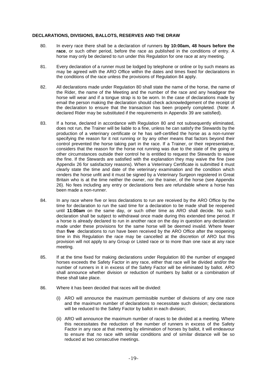#### **DECLARATIONS, DIVISIONS, BALLOTS, RESERVES AND THE DRAW**

- <span id="page-19-0"></span>80. In every race there shall be a declaration of runners **by 10:00am, 48 hours before the race**, or such other period, before the race as published in the conditions of entry. A horse may only be declared to run under this Regulation for one race at any meeting.
- 81. Every declaration of a runner must be lodged by telephone or online or by such means as may be agreed with the ARO Office within the dates and times fixed for declarations in the conditions of the race unless the provisions of Regulation [84](#page-19-1) apply.
- 82. All declarations made under Regulation [80](#page-19-0) shall state the name of the horse, the name of the Rider, the name of the Meeting and the number of the race and any headgear the horse will wear and if a tongue strap is to be worn. In the case of declarations made by email the person making the declaration should check acknowledgement of the receipt of the declaration to ensure that the transaction has been properly completed. (Note: A declared Rider may be substituted if the requirements in Appendix 39 are satisfied).
- 83. If a horse, declared in accordance with Regulation [80](#page-19-0) and not subsequently eliminated, does not run, the Trainer will be liable to a fine, unless he can satisfy the Stewards by the production of a veterinary certificate or he has self-certified the horse as a non-runner specifying the reason for it not running or by any other means that factors beyond their control prevented the horse taking part in the race. If a Trainer, or their representative, considers that the reason for the horse not running was due to the state of the going or other circumstances outside their control he is entitled to request the Stewards to waive the fine. If the Stewards are satisfied with the explanation they may waive the fine (see Appendix 26 for satisfactory reasons). When a Veterinary Certificate is submitted it must clearly state the time and date of the veterinary examination and the condition which renders the horse unfit and it must be signed by a Veterinary Surgeon registered in Great Britain who is at the time neither the owner, nor the trainer, of the horse (see Appendix 26). No fees including any entry or declarations fees are refundable where a horse has been made a non-runner.
- <span id="page-19-1"></span>84. In any race where five or less declarations to run are received by the ARO Office by the time for declaration to run the said time for a declaration to be made shall be reopened until **11:00am** on the same day, or such other time as ARO shall decide. No such declaration shall be subject to withdrawal once made during this extended time period. If a horse is already declared to run in another race on the day in question any declaration made under these provisions for the same horse will be deemed invalid. Where fewer than **five** declarations to run have been received by the ARO Office after the reopening time in this Regulation the race may be cancelled at the discretion of ARO but this provision will not apply to any Group or Listed race or to more than one race at any race meeting.
- 85. If at the time fixed for making declarations under Regulation [80](#page-19-0) the number of engaged horses exceeds the Safety Factor in any race, either that race will be divided and/or the number of runners in it in excess of the Safety Factor will be eliminated by ballot. ARO shall announce whether division or reduction of numbers by ballot or a combination of these shall take place.
- <span id="page-19-2"></span>86. Where it has been decided that races will be divided:
	- (i) ARO will announce the maximum permissible number of divisions of any one race and the maximum number of declarations to necessitate such division; declarations will be reduced to the Safety Factor by ballot in each division;
	- (ii) ARO will announce the maximum number of races to be divided at a meeting. Where this necessitates the reduction of the number of runners in excess of the Safety Factor in any race at that meeting by elimination of horses by ballot, it will endeavour to ensure that no race with similar conditions and of similar distance will be so reduced at two consecutive meetings.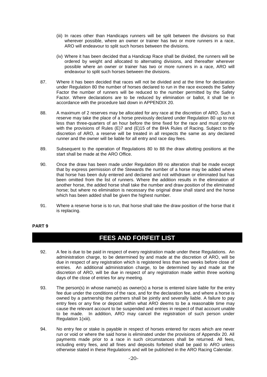- (iii) In races other than Handicaps runners will be split between the divisions so that wherever possible, where an owner or trainer has two or more runners in a race, ARO will endeavour to split such horses between the divisions.
- (iv) Where it has been decided that a Handicap Race shall be divided, the runners will be ordered by weight and allocated to alternating divisions, and thereafter wherever possible where an owner or trainer has two or more runners in a race, ARO will endeavour to split such horses between the divisions.
- <span id="page-20-5"></span>87. Where it has been decided that races will not be divided and at the time for declaration under Regulation [80](#page-19-0) the number of horses declared to run in the race exceeds the Safety Factor the number of runners will be reduced to the number permitted by the Safety Factor. Where declarations are to be reduced by elimination or ballot, it shall be in accordance with the procedure laid down in [APPENDIX 20.](#page-31-0)
- <span id="page-20-1"></span>88. A maximum of 2 reserves may be allocated for any race at the discretion of ARO. Such a reserve may take the place of a horse previously declared under Regulation [80](#page-19-0) up to not less than three-quarters of an hour before the time fixed for the race and must comply with the provisions of Rules (E)7 and (E)15 of the BHA Rules of Racing. Subject to the discretion of ARO, a reserve will be treated in all respects the same as any declared runner and the owner will be liable for all entry and race day fees.
- <span id="page-20-2"></span>89. Subsequent to the operation of Regulations [80](#page-19-0) to [88](#page-20-1) the draw allotting positions at the start shall be made at the ARO Office.
- 90. Once the draw has been made under Regulation [89](#page-20-2) no alteration shall be made except that by express permission of the Stewards the number of a horse may be added where that horse has been duly entered and declared and not withdrawn or eliminated but has been omitted from the list of runners. Where the addition results in the elimination of another horse, the added horse shall take the number and draw position of the eliminated horse; but where no elimination is necessary the original draw shall stand and the horse which has been added shall be given the highest number.
- 91. Where a reserve horse is to run, that horse shall take the draw position of the horse that it is replacing.

### **PART 9**

### **FEES AND FORFEIT LIST**

- <span id="page-20-0"></span>92. A fee is due to be paid in respect of every registration made under these Regulations. An administration charge, to be determined by and made at the discretion of ARO, will be due in respect of any registration which is registered less than two weeks before close of entries. An additional administration charge, to be determined by and made at the discretion of ARO, will be due in respect of any registration made within three working days of the close of entries for any meeting.
- <span id="page-20-3"></span>93. The person(s) in whose name(s) as owner(s) a horse is entered is/are liable for the entry fee due under the conditions of the race, and for the declaration fee, and where a horse is owned by a partnership the partners shall be jointly and severally liable. A failure to pay entry fees or any fine or deposit within what ARO deems to be a reasonable time may cause the relevant account to be suspended and entries in respect of that account unable to be made. In addition, ARO may cancel the registration of such person under Regulation [1\(xiii\).](#page-8-1)
- <span id="page-20-4"></span>94. No entry fee or stake is payable in respect of horses entered for races which are never run or void or where the said horse is eliminated under the provisions of Appendix 20. All payments made prior to a race in such circumstances shall be returned. All fees, including entry fees, and all fines and deposits forfeited shall be paid to ARO unless otherwise stated in these Regulations and will be published in the ARO Racing Calendar.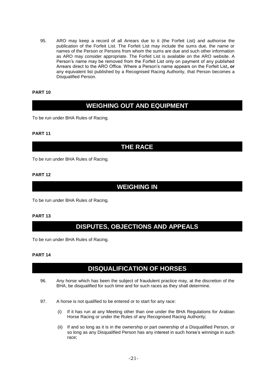<span id="page-21-0"></span>95. ARO may keep a record of all Arrears due to it (the Forfeit List) and authorise the publication of the Forfeit List. The Forfeit List may include the sums due, the name or names of the Person or Persons from whom the sums are due and such other information as ARO may consider appropriate. The Forfeit List is available on the ARO website. A Person's name may be removed from the Forfeit List only on payment of any published Arrears direct to the ARO Office. Where a Person's name appears on the Forfeit List**, or**  any equivalent list published by a Recognised Racing Authority, that Person becomes a Disqualified Person.

### **PART 10**

# **WEIGHING OUT AND EQUIPMENT**

To be run under BHA Rules of Racing.

### **PART 11**

### **THE RACE**

To be run under BHA Rules of Racing.

### **PART 12**

### **WEIGHING IN**

To be run under BHA Rules of Racing.

### **PART 13**

## **DISPUTES, OBJECTIONS AND APPEALS**

To be run under BHA Rules of Racing.

### **PART 14**

# **DISQUALIFICATION OF HORSES**

- <span id="page-21-1"></span>96. Any horse which has been the subject of fraudulent practice may, at the discretion of the BHA, be disqualified for such time and for such races as they shall determine.
- 97. A horse is not qualified to be entered or to start for any race:
	- (i) If it has run at any Meeting other than one under the BHA Regulations for Arabian Horse Racing or under the Rules of any Recognised Racing Authority;
	- (ii) If and so long as it is in the ownership or part ownership of a Disqualified Person, or so long as any Disqualified Person has any interest in such horse's winnings in such race;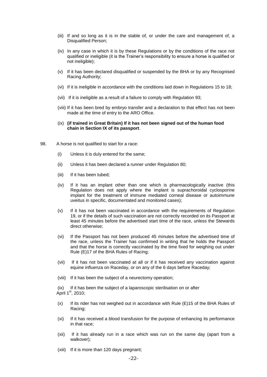- (iii) If and so long as it is in the stable of, or under the care and management of, a Disqualified Person;
- (iv) In any case in which it is by these Regulations or by the conditions of the race not qualified or ineligible (it is the Trainer's responsibility to ensure a horse is qualified or not ineligible);
- (v) If it has been declared disqualified or suspended by the BHA or by any Recognised Racing Authority;
- (vi) If it is ineligible in accordance with the conditions laid down in Regulations [15](#page-9-1) to [18;](#page-10-2)
- (vii) If it is ineligible as a result of a failure to comply with Regulation [93;](#page-20-3)
- (viii) If it has been bred by embryo transfer and a declaration to that effect has not been made at the time of entry to the ARO Office.
- (ix) **(if trained in Great Britain) If it has not been signed out of the human food chain in Section IX of its passport**.
- 98. A horse is not qualified to start for a race:
	- (i) Unless it is duly entered for the same;
	- (ii) Unless it has been declared a runner under Regulation [80;](#page-19-0)
	- (iii) If it has been tubed:
	- (iv) If it has an implant other than one which is pharmacologically inactive (this Regulation does not apply where the implant is suprachoroidal cyclosporine implant for the treatment of immune mediated corneal disease or autoimmune uveitus in specific, documentated and monitored cases);
	- (v) If it has not been vaccinated in accordance with the requirements of Regulation [19,](#page-10-1) or if the details of such vaccination are not correctly recorded on its Passport at least 45 minutes before the advertised start time of the race, unless the Stewards direct otherwise;
	- (vi) If the Passport has not been produced 45 minutes before the advertised time of the race, unless the Trainer has confirmed in writing that he holds the Passport and that the horse is correctly vaccinated by the time fixed for weighing out under Rule (E)17 of the BHA Rules of Racing;
	- (vii) If it has not been vaccinated at all or if it has received any vaccination against equine influenza on Raceday, or on any of the 6 days before Raceday;
	- (viii) If it has been the subject of a neurectomy operation;

<span id="page-22-0"></span>(ix) If it has been the subject of a laparoscopic sterilisation on or after April  $1<sup>st</sup>$ , 2010;

- (x) If its rider has not weighed out in accordance with Rule (E)15 of the BHA Rules of Racing;
- (xi) If it has received a blood transfusion for the purpose of enhancing its performance in that race;
- (xii) If it has already run in a race which was run on the same day (apart from a walkover);
- (xiii) If it is more than 120 days pregnant;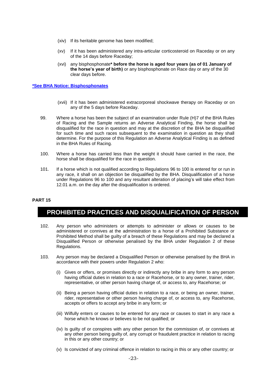- (xiv) If its heritable genome has been modified;
- (xv) If it has been administered any intra-articular corticosteroid on Raceday or on any of the 14 days before Raceday;
- (xvi) any bisphosphonate**\* before the horse is aged four years (as of 01 January of the horse's year of birth)** or any bisphosphonate on Race day or any of the 30 clear days before.

### **[\\*See BHA Notice: Bisphosphonates](http://media.britishhorseracing.com/bha/AntiDoping/Prohibited_Substances/Bisphosphonates.pdf)**

- (xvii) If it has been administered extracorporeal shockwave therapy on Raceday or on any of the 5 days before Raceday.
- 99. Where a horse has been the subject of an examination under Rule (H)7 of the BHA Rules of Racing and the Sample returns an Adverse Analytical Finding, the horse shall be disqualified for the race in question and may at the discretion of the BHA be disqualified for such time and such races subsequent to the examination in question as they shall determine. For the purpose of this Regulation an Adverse Analytical Finding is as defined in the BHA Rules of Racing.
- <span id="page-23-1"></span>100. Where a horse has carried less than the weight it should have carried in the race, the horse shall be disqualified for the race in question.
- 101. If a horse which is not qualified according to Regulations [96](#page-21-1) to [100](#page-23-1) is entered for or run in any race, it shall on an objection be disqualified by the BHA. Disqualification of a horse under Regulations [96](#page-21-1) to [100](#page-23-1) and any resultant alteration of placing's will take effect from 12.01 a.m. on the day after the disqualification is ordered.

#### **PART 15**

### **PROHIBITED PRACTICES AND DISQUALIFICATION OF PERSON**

- 102. Any person who administers or attempts to administer or allows or causes to be administered or connives at the administration to a horse of a Prohibited Substance or Prohibited Method shall be guilty of a breach of these Regulations and may be declared a Disqualified Person or otherwise penalised by the BHA under Regulation [2](#page-8-0) of these Regulations.
- <span id="page-23-0"></span>103. Any person may be declared a Disqualified Person or otherwise penalised by the BHA in accordance with their powers under Regulation [2](#page-8-0) who:
	- (i) Gives or offers, or promises directly or indirectly any bribe in any form to any person having official duties in relation to a race or Racehorse, or to any owner, trainer, rider, representative, or other person having charge of, or access to, any Racehorse; or
	- (ii) Being a person having official duties in relation to a race, or being an owner, trainer, rider, representative or other person having charge of, or access to, any Racehorse, accepts or offers to accept any bribe in any form; or
	- (iii) Wilfully enters or causes to be entered for any race or causes to start in any race a horse which he knows or believes to be not qualified; or
	- (iv) Is guilty of or conspires with any other person for the commission of, or connives at any other person being guilty of, any corrupt or fraudulent practice in relation to racing in this or any other country; or
	- (v) Is convicted of any criminal offence in relation to racing in this or any other country; or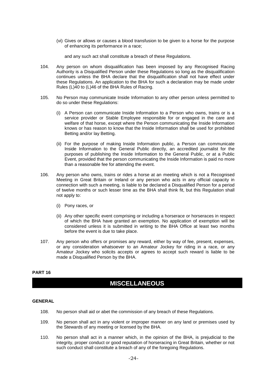(vi) Gives or allows or causes a blood transfusion to be given to a horse for the purpose of enhancing its performance in a race;

and any such act shall constitute a breach of these Regulations.

- <span id="page-24-0"></span>104. Any person on whom disqualification has been imposed by any Recognised Racing Authority is a Disqualified Person under these Regulations so long as the disqualification continues unless the BHA declare that the disqualification shall not have effect under these Regulations. An application to the BHA for such a declaration may be made under Rules (L)40 to (L)46 of the BHA Rules of Racing.
- 105. No Person may communicate Inside Information to any other person unless permitted to do so under these Regulations:
	- (i) A Person can communicate Inside Information to a Person who owns, trains or is a service provider or Stable Employee responsible for or engaged in the care and welfare of that horse, except where the Person communicating the Inside Information knows or has reason to know that the Inside Information shall be used for prohibited Betting and/or lay Betting.
	- (ii) For the purpose of making Inside Information public, a Person can communicate Inside Information to the General Public directly, an accredited journalist for the purposes of publishing the Inside Information to the General Public, or at a Public Event, provided that the person communicating the Inside Information is paid no more than a reasonable fee for attending the event.
- 106. Any person who owns, trains or rides a horse at an meeting which is not a Recognised Meeting in Great Britain or Ireland or any person who acts in any official capacity in connection with such a meeting, is liable to be declared a Disqualified Person for a period of twelve months or such lesser time as the BHA shall think fit, but this Regulation shall not apply to:
	- (i) Pony races, or
	- (ii) Any other specific event comprising or including a horserace or horseraces in respect of which the BHA have granted an exemption. No application of exemption will be considered unless it is submitted in writing to the BHA Office at least two months before the event is due to take place.
- 107. Any person who offers or promises any reward, either by way of fee, present, expenses, or any consideration whatsoever to an Amateur Jockey for riding in a race, or any Amateur Jockey who solicits accepts or agrees to accept such reward is liable to be made a Disqualified Person by the BHA.

### **PART 16**

### **MISCELLANEOUS**

### **GENERAL**

- <span id="page-24-1"></span>108. No person shall aid or abet the commission of any breach of these Regulations.
- <span id="page-24-2"></span>109. No person shall act in any violent or improper manner on any land or premises used by the Stewards of any meeting or licensed by the BHA.
- <span id="page-24-3"></span>110. No person shall act in a manner which, in the opinion of the BHA, is prejudicial to the integrity, proper conduct or good reputation of horseracing in Great Britain, whether or not such conduct shall constitute a breach of any of the foregoing Regulations.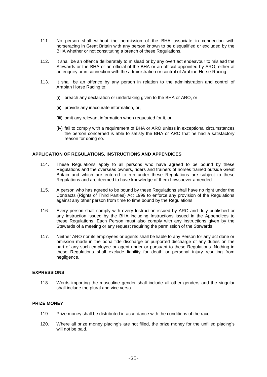- 111. No person shall without the permission of the BHA associate in connection with horseracing in Great Britain with any person known to be disqualified or excluded by the BHA whether or not constituting a breach of these Regulations.
- <span id="page-25-0"></span>112. It shall be an offence deliberately to mislead or by any overt act endeavour to mislead the Stewards or the BHA or an official of the BHA or an official appointed by ARO, either at an enquiry or in connection with the administration or control of Arabian Horse Racing.
- 113. It shall be an offence by any person in relation to the administration and control of Arabian Horse Racing to:
	- (i) breach any declaration or undertaking given to the BHA or ARO, or
	- (ii) provide any inaccurate information, or,
	- (iii) omit any relevant information when requested for it, or
	- (iv) fail to comply with a requirement of BHA or ARO unless in exceptional circumstances the person concerned is able to satisfy the BHA or ARO that he had a satisfactory reason for doing so.

#### **APPLICATION OF REGULATIONS, INSTRUCTIONS AND APPENDICES**

- 114. These Regulations apply to all persons who have agreed to be bound by these Regulations and the overseas owners, riders and trainers of horses trained outside Great Britain and which are entered to run under these Regulations are subject to these Regulations and are deemed to have knowledge of them howsoever amended.
- 115. A person who has agreed to be bound by these Regulations shall have no right under the Contracts (Rights of Third Parties) Act 1999 to enforce any provision of the Regulations against any other person from time to time bound by the Regulations.
- 116. Every person shall comply with every Instruction issued by ARO and duly published or any instruction issued by the BHA including Instructions issued in the Appendices to these Regulations. Each Person must also comply with any instructions given by the Stewards of a meeting or any request requiring the permission of the Stewards.
- 117. Neither ARO nor its employees or agents shall be liable to any Person for any act done or omission made in the bona fide discharge or purported discharge of any duties on the part of any such employee or agent under or pursuant to these Regulations. Nothing in these Regulations shall exclude liability for death or personal injury resulting from negligence.

#### **EXPRESSIONS**

118. Words importing the masculine gender shall include all other genders and the singular shall include the plural and vice versa.

#### **PRIZE MONEY**

- 119. Prize money shall be distributed in accordance with the conditions of the race.
- 120. Where all prize money placing's are not filled, the prize money for the unfilled placing's will not be paid.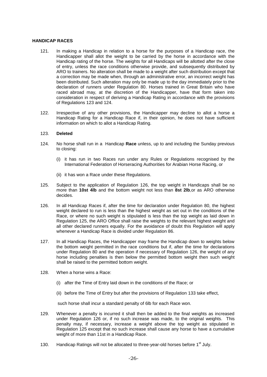#### **HANDICAP RACES**

- 121. In making a Handicap in relation to a horse for the purposes of a Handicap race, the Handicapper shall allot the weight to be carried by the horse in accordance with the Handicap rating of the horse. The weights for all Handicaps will be allotted after the close of entry, unless the race conditions otherwise provide, and subsequently distributed by ARO to trainers. No alteration shall be made to a weight after such distribution except that a correction may be made when, through an administrative error, an incorrect weight has been distributed. Such alteration may only be made up to the day immediately prior to the declaration of runners under Regulation [80.](#page-19-0) Horses trained in Great Britain who have raced abroad may, at the discretion of the Handicapper, have that form taken into consideration in respect of deriving a Handicap Rating in accordance with the provisions of Regulations [123](#page-26-0) and [124.](#page-26-1)
- 122. Irrespective of any other provisions, the Handicapper may decline to allot a horse a Handicap Rating for a Handicap Race if, in their opinion, he does not have sufficient information on which to allot a Handicap Rating.

#### <span id="page-26-0"></span>123. **Deleted**

- <span id="page-26-1"></span>124. No horse shall run in a Handicap **Race** unless, up to and including the Sunday previous to closing:
	- (i) it has run in two Races run under any Rules or Regulations recognised by the International Federation of Horseracing Authorities for Arabian Horse Racing, or
	- (ii) it has won a Race under these Regulations.
- <span id="page-26-3"></span>125. Subject to the application of Regulation [126,](#page-26-2) the top weight in Handicaps shall be no more than **10st 4lb** and the bottom weight not less than **8st 2lb**,or as ARO otherwise decides.
- <span id="page-26-2"></span>126. In all Handicap Races if, after the time for declaration under Regulation [80,](#page-19-0) the highest weight declared to run is less than the highest weight as set out in the conditions of the Race, or where no such weight is stipulated is less than the top weight as laid down in Regulation [125,](#page-26-3) the ARO Office shall raise the weights to the relevant highest weight and all other declared runners equally. For the avoidance of doubt this Regulation will apply whenever a Handicap Race is divided under Regulation [86.](#page-19-2)
- 127. In all Handicap Races, the Handicapper may frame the Handicap down to weights below the bottom weight permitted in the race conditions but if, after the time for declarations under Regulation [80](#page-19-0) and the operation if necessary of Regulation [126,](#page-26-2) the weight of any horse including penalties is then below the permitted bottom weight then such weight shall be raised to the permitted bottom weight.
- 128. When a horse wins a Race:
	- (i) after the Time of Entry laid down in the conditions of the Race; or
	- (ii) before the Time of Entry but after the provisions of Regulation [133](#page-27-0) take effect,

such horse shall incur a standard penalty of 6lb for each Race won.

- 129. Whenever a penalty is incurred it shall then be added to the final weights as increased under Regulation [126](#page-26-2) or, if no such increase was made, to the original weights. This penalty may, if necessary, increase a weight above the top weight as stipulated in Regulation [125](#page-26-3) except that no such increase shall cause any horse to have a cumulative weight of more than 11st in a Handicap Race.
- 130. Handicap Ratings will not be allocated to three-year-old horses before 1<sup>st</sup> July.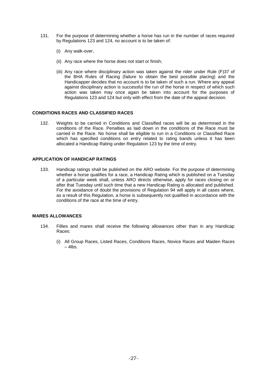- 131. For the purpose of determining whether a horse has run in the number of races required by Regulations [123](#page-26-0) and [124,](#page-26-1) no account is to be taken of:
	- (i) Any walk-over,
	- (ii) Any race where the horse does not start or finish;
	- (iii) Any race where disciplinary action was taken against the rider under Rule (F)37 of the BHA Rules of Racing (failure to obtain the best possible placing) and the Handicapper decides that no account is to be taken of such a run. Where any appeal against disciplinary action is successful the run of the horse in respect of which such action was taken may once again be taken into account for the purposes of Regulations [123](#page-26-0) and [124](#page-26-1) but only with effect from the date of the appeal decision.

#### **CONDITIONS RACES AND CLASSIFIED RACES**

132. Weights to be carried in Conditions and Classified races will be as determined in the conditions of the Race. Penalties as laid down in the conditions of the Race must be carried in the Race. No horse shall be eligible to run in a Conditions or Classified Race which has specified conditions on entry related to rating bands unless it has been allocated a Handicap Rating under Regulation [123](#page-26-0) by the time of entry.

### **APPLICATION OF HANDICAP RATINGS**

<span id="page-27-0"></span>133. Handicap ratings shall be published on the ARO website. For the purpose of determining whether a horse qualifies for a race, a Handicap Rating which is published on a Tuesday of a particular week shall, unless ARO directs otherwise, apply for races closing on or after that Tuesday until such time that a new Handicap Rating is allocated and published. For the avoidance of doubt the provisions of Regulation [94](#page-20-4) will apply in all cases where, as a result of this Regulation, a horse is subsequently not qualified in accordance with the conditions of the race at the time of entry.

#### **MARES ALLOWANCES**

- 134. Fillies and mares shall receive the following allowances other than in any Handicap Races:
	- (i) All Group Races, Listed Races, Conditions Races, Novice Races and Maiden Races  $-$  4lbs.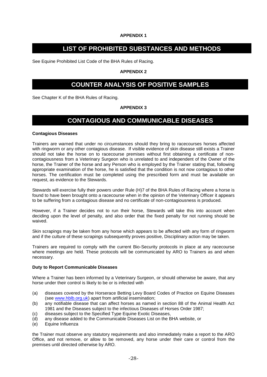### **APPENDIX 1**

### **LIST OF PROHIBITED SUBSTANCES AND METHODS**

See Equine Prohibited List Code of the BHA Rules of Racing.

### **APPENDIX 2**

### **COUNTER ANALYSIS OF POSITIVE SAMPLES**

See Chapter K of the BHA Rules of Racing.

### **APPENDIX 3**

### **CONTAGIOUS AND COMMUNICABLE DISEASES**

#### **Contagious Diseases**

Trainers are warned that under no circumstances should they bring to racecourses horses affected with ringworm or any other contagious disease. If visible evidence of skin disease still exists a Trainer should not take the horse on to racecourse premises without first obtaining a certificate of noncontagiousness from a Veterinary Surgeon who is unrelated to and independent of the Owner of the horse, the Trainer of the horse and any Person who is employed by the Trainer stating that, following appropriate examination of the horse, he is satisfied that the condition is not now contagious to other horses. The certification must be completed using the prescribed form and must be available on request, as evidence to the Stewards.

Stewards will exercise fully their powers under Rule (H)7 of the BHA Rules of Racing where a horse is found to have been brought onto a racecourse when in the opinion of the Veterinary Officer it appears to be suffering from a contagious disease and no certificate of non-contagiousness is produced.

However, if a Trainer decides not to run their horse, Stewards will take this into account when deciding upon the level of penalty, and also order that the fixed penalty for not running should be waived.

Skin scrapings may be taken from any horse which appears to be affected with any form of ringworm and if the culture of these scrapings subsequently proves positive, Disciplinary action may be taken.

Trainers are required to comply with the current Bio-Security protocols in place at any racecourse where meetings are held. These protocols will be communicated by ARO to Trainers as and when necessary.

#### **Duty to Report Communicable Diseases**

Where a Trainer has been informed by a Veterinary Surgeon, or should otherwise be aware, that any horse under their control is likely to be or is infected with

- (a) diseases covered by the Horserace Betting Levy Board Codes of Practice on Equine Diseases (see [www.hblb.org.uk\)](http://www.hblb.org.uk/) apart from artificial insemination;
- (b) any notifiable disease that can affect horses as named in section 88 of the Animal Health Act 1981 and the Diseases subject to the infectious Diseases of Horses Order 1987;
- (c) diseases subject to the Specified Type Equine Exotic Diseases,
- (d) any disease added to the Communicable Diseases List on the BHA website, or
- (e) Equine Influenza

the Trainer must observe any statutory requirements and also immediately make a report to the ARO Office, and not remove, or allow to be removed, any horse under their care or control from the premises until directed otherwise by ARO.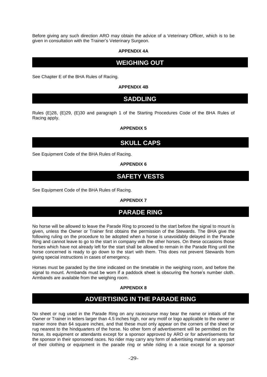Before giving any such direction ARO may obtain the advice of a Veterinary Officer, which is to be given in consultation with the Trainer's Veterinary Surgeon.

### **APPENDIX 4A**

### **WEIGHING OUT**

See Chapter E of the BHA Rules of Racing.

### **APPENDIX 4B**

### **SADDLING**

Rules (E)28, (E)29, (E)30 and paragraph 1 of the Starting Procedures Code of the BHA Rules of Racing apply.

### **APPENDIX 5**

### **SKULL CAPS**

See Equipment Code of the BHA Rules of Racing.

### **APPENDIX 6**

### **SAFETY VESTS**

See Equipment Code of the BHA Rules of Racing.

### **APPENDIX 7**

### **PARADE RING**

No horse will be allowed to leave the Parade Ring to proceed to the start before the signal to mount is given, unless the Owner or Trainer first obtains the permission of the Stewards. The BHA give the following ruling on the procedure to be adopted when a horse is unavoidably delayed in the Parade Ring and cannot leave to go to the start in company with the other horses. On these occasions those horses which have not already left for the start shall be allowed to remain in the Parade Ring until the horse concerned is ready to go down to the start with them. This does not prevent Stewards from giving special instructions in cases of emergency.

Horses must be paraded by the time indicated on the timetable in the weighing room, and before the signal to mount. Armbands must be worn if a paddock sheet is obscuring the horse's number cloth. Armbands are available from the weighing room.

### **APPENDIX 8**

### **ADVERTISING IN THE PARADE RING**

No sheet or rug used in the Parade Ring on any racecourse may bear the name or initials of the Owner or Trainer in letters larger than 4.5 inches high, nor any motif or logo applicable to the owner or trainer more than 64 square inches, and that these must only appear on the corners of the sheet or rug nearest to the hindquarters of the horse. No other form of advertisement will be permitted on the horse, its equipment or attendants except for a sponsor approved by ARO or for advertisements for the sponsor in their sponsored races. No rider may carry any form of advertising material on any part of their clothing or equipment in the parade ring or while riding in a race except for a sponsor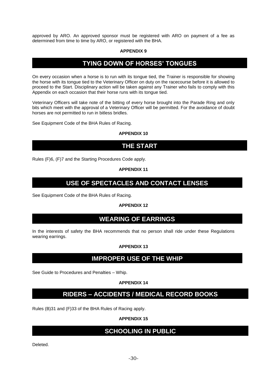approved by ARO. An approved sponsor must be registered with ARO on payment of a fee as determined from time to time by ARO, or registered with the BHA.

#### **APPENDIX 9**

### **TYING DOWN OF HORSES' TONGUES**

On every occasion when a horse is to run with its tongue tied, the Trainer is responsible for showing the horse with its tongue tied to the Veterinary Officer on duty on the racecourse before it is allowed to proceed to the Start. Disciplinary action will be taken against any Trainer who fails to comply with this Appendix on each occasion that their horse runs with its tongue tied.

Veterinary Officers will take note of the bitting of every horse brought into the Parade Ring and only bits which meet with the approval of a Veterinary Officer will be permitted. For the avoidance of doubt horses are not permitted to run in bitless bridles.

See Equipment Code of the BHA Rules of Racing.

### **APPENDIX 10**

### **THE START**

Rules (F)6, (F)7 and the Starting Procedures Code apply.

### **APPENDIX 11**

### **USE OF SPECTACLES AND CONTACT LENSES**

See Equipment Code of the BHA Rules of Racing.

### **APPENDIX 12**

### **WEARING OF EARRINGS**

In the interests of safety the BHA recommends that no person shall ride under these Regulations wearing earrings.

#### **APPENDIX 13**

### **IMPROPER USE OF THE WHIP**

See Guide to Procedures and Penalties – Whip.

### **APPENDIX 14**

### **RIDERS – ACCIDENTS / MEDICAL RECORD BOOKS**

Rules (B)31 and (F)33 of the BHA Rules of Racing apply.

### **APPENDIX 15**

### **SCHOOLING IN PUBLIC**

Deleted.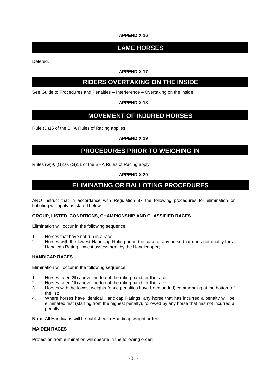### **APPENDIX 16**

# **LAME HORSES**

Deleted.

### **APPENDIX 17**

### **RIDERS OVERTAKING ON THE INSIDE**

See Guide to Procedures and Penalties – Interference – Overtaking on the inside

### **APPENDIX 18**

### **MOVEMENT OF INJURED HORSES**

Rule (D)15 of the BHA Rules of Racing applies.

### **APPENDIX 19**

### **PROCEDURES PRIOR TO WEIGHING IN**

<span id="page-31-0"></span>Rules (G)9, (G)10, (G)11 of the BHA Rules of Racing apply.

### **APPENDIX 20**

### **ELIMINATING OR BALLOTING PROCEDURES**

ARO instruct that in accordance with Regulation [87](#page-20-5) the following procedures for elimination or balloting will apply as stated below:

#### **GROUP, LISTED, CONDITIONS, CHAMPIONSHIP AND CLASSIFIED RACES**

Elimination will occur in the following sequence:

- 1. Horses that have not run in a race;
- 2. Horses with the lowest Handicap Rating or, in the case of any horse that does not qualify for a Handicap Rating, lowest assessment by the Handicapper;

#### **HANDICAP RACES**

Elimination will occur in the following sequence:

- 1. Horses rated 2lb above the top of the rating band for the race.
- 2. Horses rated 1lb above the top of the rating band for the race.
- 3. Horses with the lowest weights (once penalties have been added) commencing at the bottom of the list;
- 4. Where horses have identical Handicap Ratings, any horse that has incurred a penalty will be eliminated first (starting from the highest penalty), followed by any horse that has not incurred a penalty;

**Note:** All Handicaps will be published in Handicap weight order.

#### **MAIDEN RACES**

Protection from elimination will operate in the following order: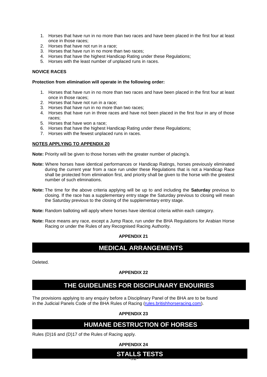- 1. Horses that have run in no more than two races and have been placed in the first four at least once in those races;
- 2. Horses that have not run in a race;
- 3. Horses that have run in no more than two races;
- 4. Horses that have the highest Handicap Rating under these Regulations;
- 5. Horses with the least number of unplaced runs in races.

#### **NOVICE RACES**

#### **Protection from elimination will operate in the following order:**

- 1. Horses that have run in no more than two races and have been placed in the first four at least once in those races;
- 2. Horses that have not run in a race;
- 3. Horses that have run in no more than two races;
- 4. Horses that have run in three races and have not been placed in the first four in any of those races;
- 5. Horses that have won a race;
- 6. Horses that have the highest Handicap Rating under these Regulations;
- 7. Horses with the fewest unplaced runs in races.

#### **NOTES APPLYING TO APPENDIX 20**

**Note:** Priority will be given to those horses with the greater number of placing's.

- **Note:** Where horses have identical performances or Handicap Ratings, horses previously eliminated during the current year from a race run under these Regulations that is not a Handicap Race shall be protected from elimination first, and priority shall be given to the horse with the greatest number of such eliminations.
- **Note:** The time for the above criteria applying will be up to and including the **Saturday** previous to closing. If the race has a supplementary entry stage the Saturday previous to closing will mean the Saturday previous to the closing of the supplementary entry stage.
- **Note:** Random balloting will apply where horses have identical criteria within each category.
- **Note:** Race means any race, except a Jump Race, run under the BHA Regulations for Arabian Horse Racing or under the Rules of any Recognised Racing Authority.

### **APPENDIX 21**

### **MEDICAL ARRANGEMENTS**

Deleted.

#### **APPENDIX 22**

### **THE GUIDELINES FOR DISCIPLINARY ENQUIRIES**

The provisions applying to any enquiry before a Disciplinary Panel of the BHA are to be found in the Judicial Panels Code of the BHA Rules of Racing [\(rules.britishhorseracing.com\)](http://rules.britishhorseracing.com/).

**APPENDIX 23**

### **HUMANE DESTRUCTION OF HORSES**

Rules (D)16 and (D)17 of the Rules of Racing apply.

**APPENDIX 24**

# -32- **STALLS TESTS**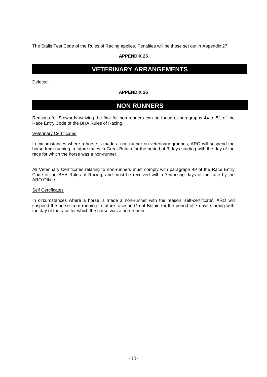The Stalls Test Code of the Rules of Racing applies. Penalties will be those set out in Appendix 27.

### **APPENDIX 25**

# **VETERINARY ARRANGEMENTS**

Deleted.

#### **APPENDIX 26**

### **NON RUNNERS**

Reasons for Stewards waiving the fine for non-runners can be found at paragraphs 44 to 51 of the Race Entry Code of the BHA Rules of Racing.

#### Veterinary Certificates

In circumstances where a horse is made a non-runner on veterinary grounds, ARO will suspend the horse from running in future races in Great Britain for the period of 3 days starting with the day of the race for which the horse was a non-runner.

All Veterinary Certificates relating to non-runners must comply with paragraph 49 of the Race Entry Code of the BHA Rules of Racing, and must be received within 7 working days of the race by the ARO Office.

#### **Self Certificates**

In circumstances where a horse is made a non-runner with the reason 'self-certificate', ARO will suspend the horse from running in future races in Great Britain for the period of 7 days starting with the day of the race for which the horse was a non-runner.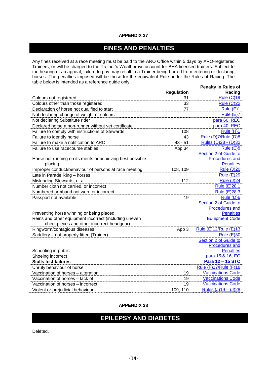### **APPENDIX 27**

# **FINES AND PENALTIES**

Any fines received at a race meeting must be paid to the ARO Office within 5 days by ARO-registered Trainers, or will be charged to the Trainer's Weatherbys account for BHA-licensed trainers. Subject to the hearing of an appeal, failure to pay may result in a Trainer being barred from entering or declaring horses. The penalties imposed will be those for the equivalent Rule under the Rules of Racing. The table below is intended as a reference guide only. **Penalty in Rules of** 

|                                                            |                   | <b>Penaity in Rules of</b>           |
|------------------------------------------------------------|-------------------|--------------------------------------|
|                                                            | <b>Regulation</b> | Racing                               |
| Colours not registered                                     | 31                | <b>Rule (C)19</b>                    |
| Colours other than those registered                        | 33                | <b>Rule (C)22</b>                    |
| Declaration of horse not qualified to start                | 77                | Rule (E)1                            |
| Not declaring change of weight or colours                  |                   | Rule $(E)$ 7                         |
| Not declaring Substitute rider                             |                   | para 66, REC                         |
| Declared horse a non-runner without vet certificate        |                   | para 40, REC                         |
| Failure to comply with instructions of Stewards            | 108               | Rule (H)1                            |
| Failure to identify horse                                  | 43                | Rule (D)7/Rule (D)8                  |
| Failure to make a notification to ARO                      | $43 - 51$         | Rules (D)28 - (D)32                  |
| Failure to use racecourse stables                          | App 34            | Rule (E)8                            |
|                                                            |                   | Section 2 of Guide to                |
| Horse not running on its merits or achieving best possible |                   | <b>Procedures and</b>                |
| placing                                                    |                   | <b>Penalties</b>                     |
| Improper conduct/behaviour of persons at race meeting      | 108, 109          | <b>Rule (J)20</b>                    |
| Late in Parade Ring - horses                               |                   | <b>Rule (E)29</b>                    |
| Misleading Stewards, et al                                 | 112               | <b>Rule (J)24</b>                    |
| Number cloth not carried, or incorrect                     |                   | <b>Rule (E)28.1</b>                  |
| Numbered armband not worn or incorrect                     |                   | Rule (E)28.3                         |
| Passport not available                                     | 19                | Rule (D)6                            |
|                                                            |                   | Section 2 of Guide to                |
|                                                            |                   | <b>Procedures and</b>                |
| Preventing horse winning or being placed                   |                   | <b>Penalties</b>                     |
| Reins and other equipment incorrect (including uneven      |                   | <b>Equipment Code</b>                |
| cheekpieces and other incorrect headgear)                  |                   |                                      |
| Ringworm/contagious diseases                               | App 3             | Rule (E)12/Rule (E)13                |
| Saddlery - not properly fitted (Trainer)                   |                   | <b>Rule (E)30</b>                    |
|                                                            |                   | Section 2 of Guide to                |
|                                                            |                   | <b>Procedures and</b>                |
| Schooling in public                                        |                   | <b>Penalties</b><br>para 15 & 16, EC |
| Shoeing incorrect<br><b>Stalls test failures</b>           |                   | Para 12 - 15 STC                     |
|                                                            |                   |                                      |
| Unruly behaviour of horse                                  |                   | Rule (F)17/Rule (F)18                |
| Vaccination of horses - alteration                         | 19                | <b>Vaccinations Code</b>             |
| Vaccination of horses - lack of                            | 19                | <b>Vaccinations Code</b>             |
| Vaccination of horses - incorrect                          | 19                | <b>Vaccinations Code</b>             |
| Violent or prejudicial behaviour                           | 109, 110          | Rules (J)19 - (J)28                  |

### **APPENDIX 28**

# **EPILEPSY AND DIABETES**

Deleted.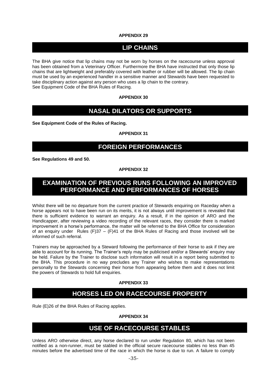### **APPENDIX 29**

# **LIP CHAINS**

The BHA give notice that lip chains may not be worn by horses on the racecourse unless approval has been obtained from a Veterinary Officer. Furthermore the BHA have instructed that only those lip chains that are lightweight and preferably covered with leather or rubber will be allowed. The lip chain must be used by an experienced handler in a sensitive manner and Stewards have been requested to take disciplinary action against any person who uses a lip chain to the contrary. See Equipment Code of the BHA Rules of Racing.

### **APPENDIX 30**

### **NASAL DILATORS OR SUPPORTS**

**See Equipment Code of the Rules of Racing.**

### **APPENDIX 31**

# **FOREIGN PERFORMANCES**

**See Regulations [49](#page-15-3) and [50.](#page-15-4)**

### **APPENDIX 32**

# **EXAMINATION OF PREVIOUS RUNS FOLLOWING AN IMPROVED PERFORMANCE AND PERFORMANCES OF HORSES**

Whilst there will be no departure from the current practice of Stewards enquiring on Raceday when a horse appears not to have been run on its merits, it is not always until improvement is revealed that there is sufficient evidence to warrant an enquiry. As a result, if in the opinion of ARO and the Handicapper, after reviewing a video recording of the relevant races, they consider there is marked improvement in a horse's performance, the matter will be referred to the BHA Office for consideration of an enquiry under Rules  $(F)37 - (F)41$  of the BHA Rules of Racing and those involved will be informed of such referral.

Trainers may be approached by a Steward following the performance of their horse to ask if they are able to account for its running. The Trainer's reply may be publicised and/or a Stewards' enquiry may be held. Failure by the Trainer to disclose such information will result in a report being submitted to the BHA. This procedure in no way precludes any Trainer who wishes to make representations personally to the Stewards concerning their horse from appearing before them and it does not limit the powers of Stewards to hold full enquiries.

### **APPENDIX 33**

# **HORSES LED ON RACECOURSE PROPERTY**

Rule (E)26 of the BHA Rules of Racing applies.

### **APPENDIX 34**

### **USE OF RACECOURSE STABLES**

Unless ARO otherwise direct, any horse declared to run under Regulation [80,](#page-19-0) which has not been notified as a non-runner, must be stabled in the official secure racecourse stables no less than 45 minutes before the advertised time of the race in which the horse is due to run. A failure to comply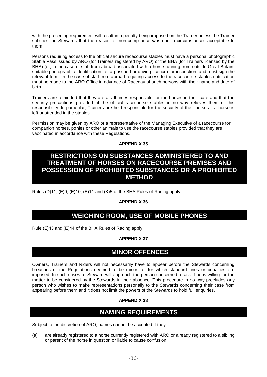with the preceding requirement will result in a penalty being imposed on the Trainer unless the Trainer satisfies the Stewards that the reason for non-compliance was due to circumstances acceptable to them.

Persons requiring access to the official secure racecourse stables must have a personal photographic Stable Pass issued by ARO (for Trainers registered by ARO) or the BHA (for Trainers licensed by the BHA) (or, in the case of staff from abroad associated with a horse running from outside Great Britain, suitable photographic identification i.e. a passport or driving licence) for inspection, and must sign the relevant form. In the case of staff from abroad requiring access to the racecourse stables notification must be made to the ARO Office in advance of Raceday of such persons with their name and date of birth.

Trainers are reminded that they are at all times responsible for the horses in their care and that the security precautions provided at the official racecourse stables in no way relieves them of this responsibility. In particular, Trainers are held responsible for the security of their horses if a horse is left unattended in the stables.

Permission may be given by ARO or a representative of the Managing Executive of a racecourse for companion horses, ponies or other animals to use the racecourse stables provided that they are vaccinated in accordance with these Regulations.

### **APPENDIX 35**

### **RESTRICTIONS ON SUBSTANCES ADMINISTERED TO AND TREATMENT OF HORSES ON RACECOURSE PREMISES AND POSSESSION OF PROHIBITED SUBSTANCES OR A PROHIBITED METHOD**

Rules (D)11, (E)9, (E)10, (E)11 and (K)5 of the BHA Rules of Racing apply.

### **APPENDIX 36**

# **WEIGHING ROOM, USE OF MOBILE PHONES**

Rule (E)43 and (E)44 of the BHA Rules of Racing apply.

### **APPENDIX 37**

### **MINOR OFFENCES**

Owners, Trainers and Riders will not necessarily have to appear before the Stewards concerning breaches of the Regulations deemed to be minor i.e. for which standard fines or penalties are imposed. In such cases a Steward will approach the person concerned to ask if he is willing for the matter to be considered by the Stewards in their absence. This procedure in no way precludes any person who wishes to make representations personally to the Stewards concerning their case from appearing before them and it does not limit the powers of the Stewards to hold full enquiries.

### **APPENDIX 38**

### **NAMING REQUIREMENTS**

Subject to the discretion of ARO, names cannot be accepted if they:

(a) are already registered to a horse currently registered with ARO or already registered to a sibling or parent of the horse in question or liable to cause confusion;.